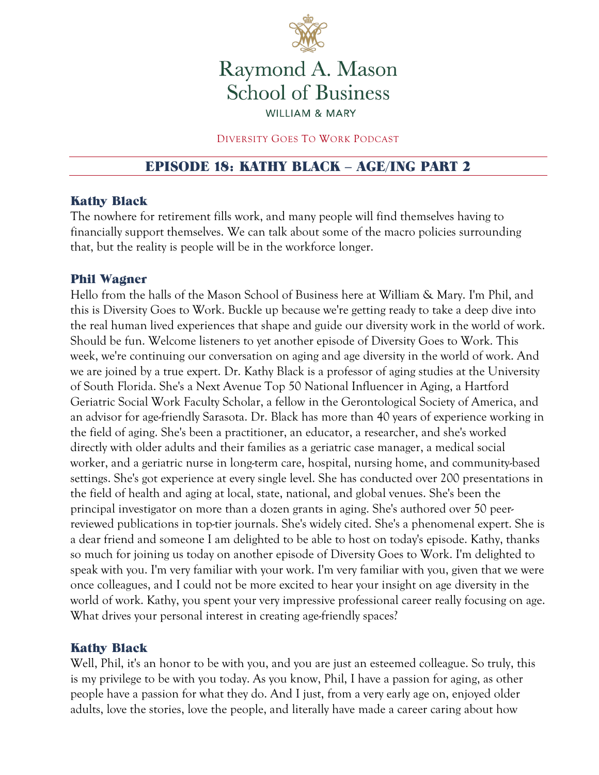

# Raymond A. Mason **School of Business WILLIAM & MARY**

#### DIVERSITY GOES TO WORK PODCAST

# EPISODE 18: KATHY BLACK – AGE/ING PART 2

#### Kathy Black

The nowhere for retirement fills work, and many people will find themselves having to financially support themselves. We can talk about some of the macro policies surrounding that, but the reality is people will be in the workforce longer.

#### Phil Wagner

Hello from the halls of the Mason School of Business here at William & Mary. I'm Phil, and this is Diversity Goes to Work. Buckle up because we're getting ready to take a deep dive into the real human lived experiences that shape and guide our diversity work in the world of work. Should be fun. Welcome listeners to yet another episode of Diversity Goes to Work. This week, we're continuing our conversation on aging and age diversity in the world of work. And we are joined by a true expert. Dr. Kathy Black is a professor of aging studies at the University of South Florida. She's a Next Avenue Top 50 National Influencer in Aging, a Hartford Geriatric Social Work Faculty Scholar, a fellow in the Gerontological Society of America, and an advisor for age-friendly Sarasota. Dr. Black has more than 40 years of experience working in the field of aging. She's been a practitioner, an educator, a researcher, and she's worked directly with older adults and their families as a geriatric case manager, a medical social worker, and a geriatric nurse in long-term care, hospital, nursing home, and community-based settings. She's got experience at every single level. She has conducted over 200 presentations in the field of health and aging at local, state, national, and global venues. She's been the principal investigator on more than a dozen grants in aging. She's authored over 50 peerreviewed publications in top-tier journals. She's widely cited. She's a phenomenal expert. She is a dear friend and someone I am delighted to be able to host on today's episode. Kathy, thanks so much for joining us today on another episode of Diversity Goes to Work. I'm delighted to speak with you. I'm very familiar with your work. I'm very familiar with you, given that we were once colleagues, and I could not be more excited to hear your insight on age diversity in the world of work. Kathy, you spent your very impressive professional career really focusing on age. What drives your personal interest in creating age-friendly spaces?

#### Kathy Black

Well, Phil, it's an honor to be with you, and you are just an esteemed colleague. So truly, this is my privilege to be with you today. As you know, Phil, I have a passion for aging, as other people have a passion for what they do. And I just, from a very early age on, enjoyed older adults, love the stories, love the people, and literally have made a career caring about how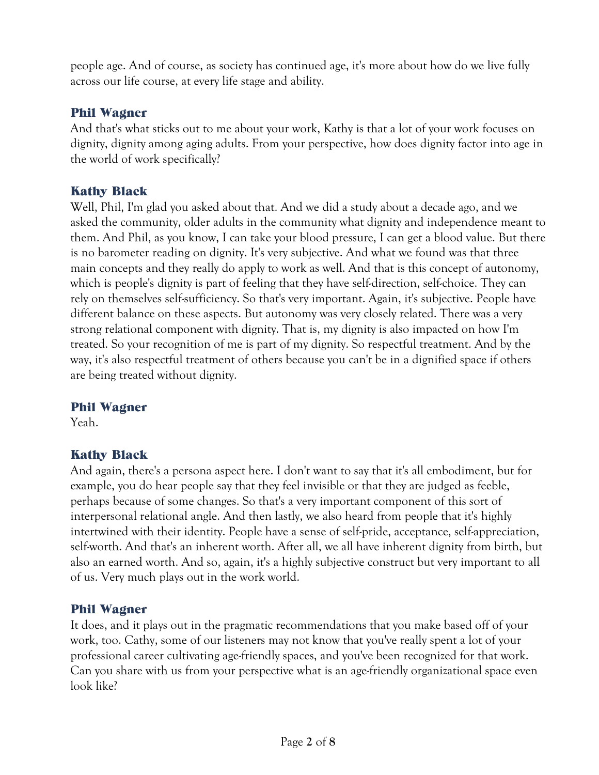people age. And of course, as society has continued age, it's more about how do we live fully across our life course, at every life stage and ability.

#### Phil Wagner

And that's what sticks out to me about your work, Kathy is that a lot of your work focuses on dignity, dignity among aging adults. From your perspective, how does dignity factor into age in the world of work specifically?

## Kathy Black

Well, Phil, I'm glad you asked about that. And we did a study about a decade ago, and we asked the community, older adults in the community what dignity and independence meant to them. And Phil, as you know, I can take your blood pressure, I can get a blood value. But there is no barometer reading on dignity. It's very subjective. And what we found was that three main concepts and they really do apply to work as well. And that is this concept of autonomy, which is people's dignity is part of feeling that they have self-direction, self-choice. They can rely on themselves self-sufficiency. So that's very important. Again, it's subjective. People have different balance on these aspects. But autonomy was very closely related. There was a very strong relational component with dignity. That is, my dignity is also impacted on how I'm treated. So your recognition of me is part of my dignity. So respectful treatment. And by the way, it's also respectful treatment of others because you can't be in a dignified space if others are being treated without dignity.

#### Phil Wagner

Yeah.

#### Kathy Black

And again, there's a persona aspect here. I don't want to say that it's all embodiment, but for example, you do hear people say that they feel invisible or that they are judged as feeble, perhaps because of some changes. So that's a very important component of this sort of interpersonal relational angle. And then lastly, we also heard from people that it's highly intertwined with their identity. People have a sense of self-pride, acceptance, self-appreciation, self-worth. And that's an inherent worth. After all, we all have inherent dignity from birth, but also an earned worth. And so, again, it's a highly subjective construct but very important to all of us. Very much plays out in the work world.

#### Phil Wagner

It does, and it plays out in the pragmatic recommendations that you make based off of your work, too. Cathy, some of our listeners may not know that you've really spent a lot of your professional career cultivating age-friendly spaces, and you've been recognized for that work. Can you share with us from your perspective what is an age-friendly organizational space even look like?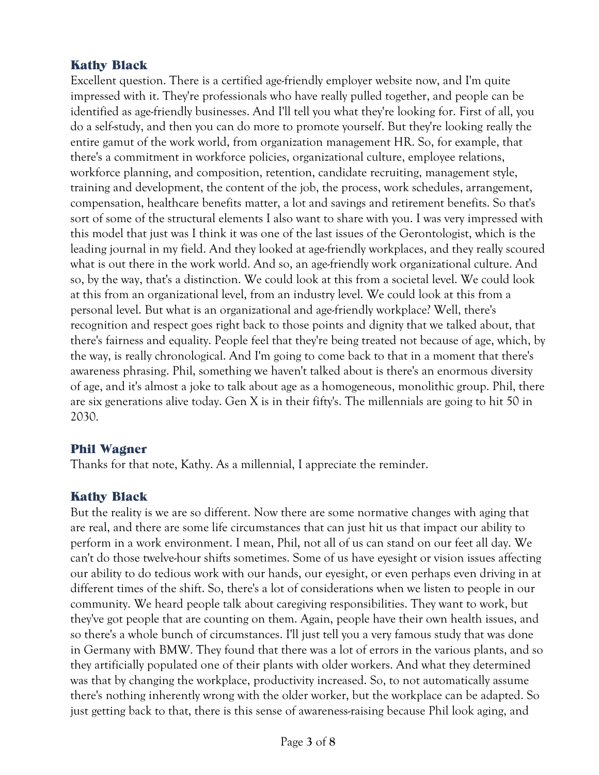## Kathy Black

Excellent question. There is a certified age-friendly employer website now, and I'm quite impressed with it. They're professionals who have really pulled together, and people can be identified as age-friendly businesses. And I'll tell you what they're looking for. First of all, you do a self-study, and then you can do more to promote yourself. But they're looking really the entire gamut of the work world, from organization management HR. So, for example, that there's a commitment in workforce policies, organizational culture, employee relations, workforce planning, and composition, retention, candidate recruiting, management style, training and development, the content of the job, the process, work schedules, arrangement, compensation, healthcare benefits matter, a lot and savings and retirement benefits. So that's sort of some of the structural elements I also want to share with you. I was very impressed with this model that just was I think it was one of the last issues of the Gerontologist, which is the leading journal in my field. And they looked at age-friendly workplaces, and they really scoured what is out there in the work world. And so, an age-friendly work organizational culture. And so, by the way, that's a distinction. We could look at this from a societal level. We could look at this from an organizational level, from an industry level. We could look at this from a personal level. But what is an organizational and age-friendly workplace? Well, there's recognition and respect goes right back to those points and dignity that we talked about, that there's fairness and equality. People feel that they're being treated not because of age, which, by the way, is really chronological. And I'm going to come back to that in a moment that there's awareness phrasing. Phil, something we haven't talked about is there's an enormous diversity of age, and it's almost a joke to talk about age as a homogeneous, monolithic group. Phil, there are six generations alive today. Gen X is in their fifty's. The millennials are going to hit 50 in 2030.

#### Phil Wagner

Thanks for that note, Kathy. As a millennial, I appreciate the reminder.

# Kathy Black

But the reality is we are so different. Now there are some normative changes with aging that are real, and there are some life circumstances that can just hit us that impact our ability to perform in a work environment. I mean, Phil, not all of us can stand on our feet all day. We can't do those twelve-hour shifts sometimes. Some of us have eyesight or vision issues affecting our ability to do tedious work with our hands, our eyesight, or even perhaps even driving in at different times of the shift. So, there's a lot of considerations when we listen to people in our community. We heard people talk about caregiving responsibilities. They want to work, but they've got people that are counting on them. Again, people have their own health issues, and so there's a whole bunch of circumstances. I'll just tell you a very famous study that was done in Germany with BMW. They found that there was a lot of errors in the various plants, and so they artificially populated one of their plants with older workers. And what they determined was that by changing the workplace, productivity increased. So, to not automatically assume there's nothing inherently wrong with the older worker, but the workplace can be adapted. So just getting back to that, there is this sense of awareness-raising because Phil look aging, and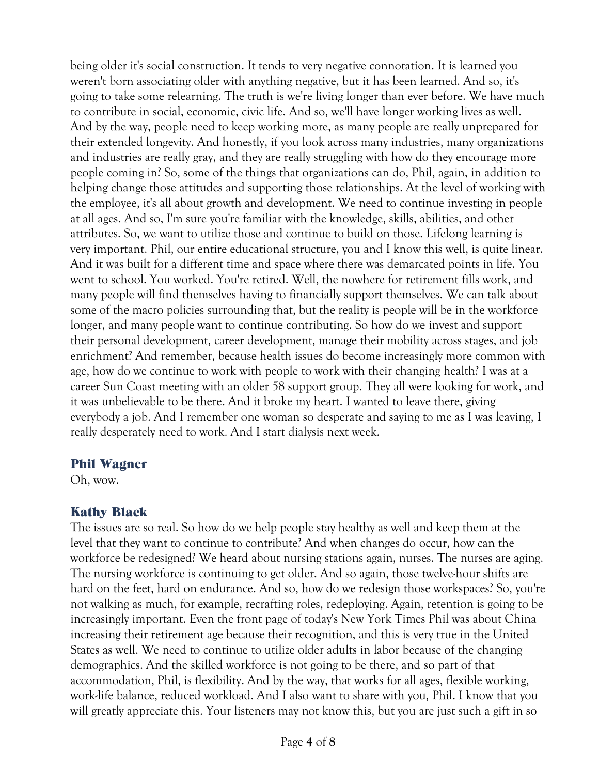being older it's social construction. It tends to very negative connotation. It is learned you weren't born associating older with anything negative, but it has been learned. And so, it's going to take some relearning. The truth is we're living longer than ever before. We have much to contribute in social, economic, civic life. And so, we'll have longer working lives as well. And by the way, people need to keep working more, as many people are really unprepared for their extended longevity. And honestly, if you look across many industries, many organizations and industries are really gray, and they are really struggling with how do they encourage more people coming in? So, some of the things that organizations can do, Phil, again, in addition to helping change those attitudes and supporting those relationships. At the level of working with the employee, it's all about growth and development. We need to continue investing in people at all ages. And so, I'm sure you're familiar with the knowledge, skills, abilities, and other attributes. So, we want to utilize those and continue to build on those. Lifelong learning is very important. Phil, our entire educational structure, you and I know this well, is quite linear. And it was built for a different time and space where there was demarcated points in life. You went to school. You worked. You're retired. Well, the nowhere for retirement fills work, and many people will find themselves having to financially support themselves. We can talk about some of the macro policies surrounding that, but the reality is people will be in the workforce longer, and many people want to continue contributing. So how do we invest and support their personal development, career development, manage their mobility across stages, and job enrichment? And remember, because health issues do become increasingly more common with age, how do we continue to work with people to work with their changing health? I was at a career Sun Coast meeting with an older 58 support group. They all were looking for work, and it was unbelievable to be there. And it broke my heart. I wanted to leave there, giving everybody a job. And I remember one woman so desperate and saying to me as I was leaving, I really desperately need to work. And I start dialysis next week.

#### Phil Wagner

Oh, wow.

# Kathy Black

The issues are so real. So how do we help people stay healthy as well and keep them at the level that they want to continue to contribute? And when changes do occur, how can the workforce be redesigned? We heard about nursing stations again, nurses. The nurses are aging. The nursing workforce is continuing to get older. And so again, those twelve-hour shifts are hard on the feet, hard on endurance. And so, how do we redesign those workspaces? So, you're not walking as much, for example, recrafting roles, redeploying. Again, retention is going to be increasingly important. Even the front page of today's New York Times Phil was about China increasing their retirement age because their recognition, and this is very true in the United States as well. We need to continue to utilize older adults in labor because of the changing demographics. And the skilled workforce is not going to be there, and so part of that accommodation, Phil, is flexibility. And by the way, that works for all ages, flexible working, work-life balance, reduced workload. And I also want to share with you, Phil. I know that you will greatly appreciate this. Your listeners may not know this, but you are just such a gift in so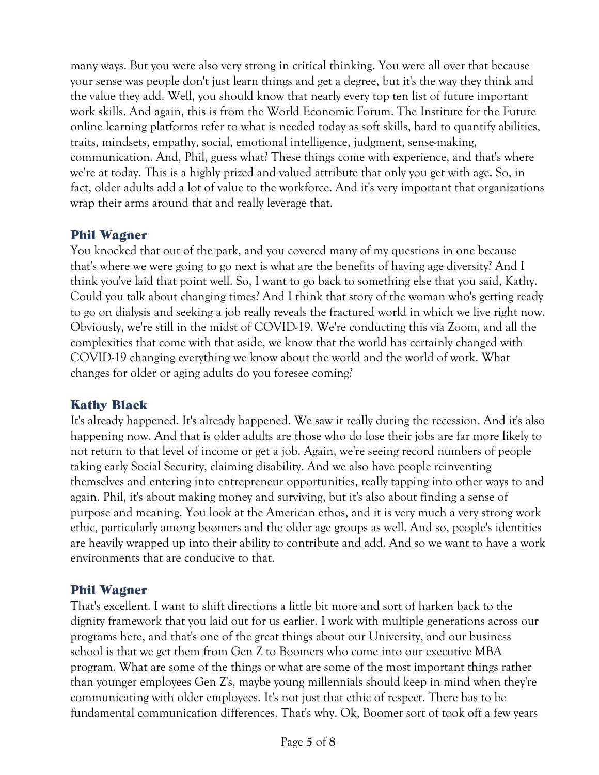many ways. But you were also very strong in critical thinking. You were all over that because your sense was people don't just learn things and get a degree, but it's the way they think and the value they add. Well, you should know that nearly every top ten list of future important work skills. And again, this is from the World Economic Forum. The Institute for the Future online learning platforms refer to what is needed today as soft skills, hard to quantify abilities, traits, mindsets, empathy, social, emotional intelligence, judgment, sense-making, communication. And, Phil, guess what? These things come with experience, and that's where we're at today. This is a highly prized and valued attribute that only you get with age. So, in fact, older adults add a lot of value to the workforce. And it's very important that organizations wrap their arms around that and really leverage that.

# Phil Wagner

You knocked that out of the park, and you covered many of my questions in one because that's where we were going to go next is what are the benefits of having age diversity? And I think you've laid that point well. So, I want to go back to something else that you said, Kathy. Could you talk about changing times? And I think that story of the woman who's getting ready to go on dialysis and seeking a job really reveals the fractured world in which we live right now. Obviously, we're still in the midst of COVID-19. We're conducting this via Zoom, and all the complexities that come with that aside, we know that the world has certainly changed with COVID-19 changing everything we know about the world and the world of work. What changes for older or aging adults do you foresee coming?

#### Kathy Black

It's already happened. It's already happened. We saw it really during the recession. And it's also happening now. And that is older adults are those who do lose their jobs are far more likely to not return to that level of income or get a job. Again, we're seeing record numbers of people taking early Social Security, claiming disability. And we also have people reinventing themselves and entering into entrepreneur opportunities, really tapping into other ways to and again. Phil, it's about making money and surviving, but it's also about finding a sense of purpose and meaning. You look at the American ethos, and it is very much a very strong work ethic, particularly among boomers and the older age groups as well. And so, people's identities are heavily wrapped up into their ability to contribute and add. And so we want to have a work environments that are conducive to that.

# Phil Wagner

That's excellent. I want to shift directions a little bit more and sort of harken back to the dignity framework that you laid out for us earlier. I work with multiple generations across our programs here, and that's one of the great things about our University, and our business school is that we get them from Gen Z to Boomers who come into our executive MBA program. What are some of the things or what are some of the most important things rather than younger employees Gen Z's, maybe young millennials should keep in mind when they're communicating with older employees. It's not just that ethic of respect. There has to be fundamental communication differences. That's why. Ok, Boomer sort of took off a few years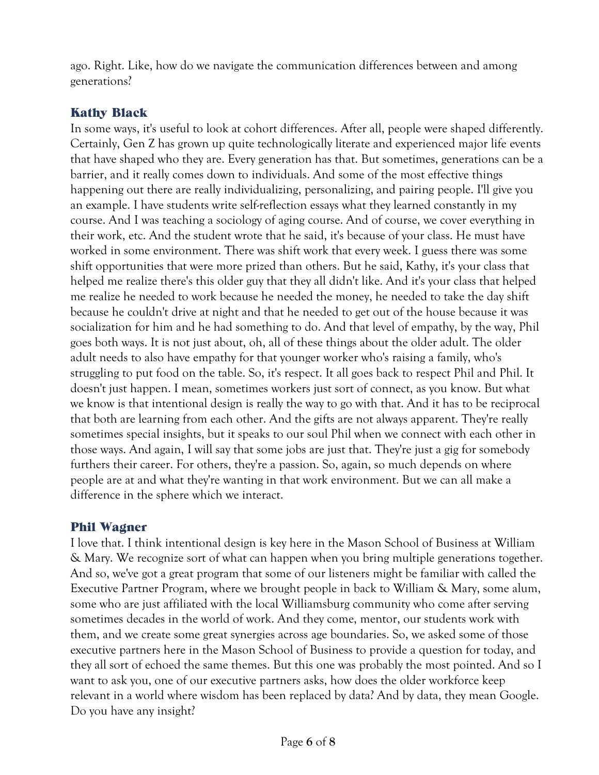ago. Right. Like, how do we navigate the communication differences between and among generations?

## Kathy Black

In some ways, it's useful to look at cohort differences. After all, people were shaped differently. Certainly, Gen Z has grown up quite technologically literate and experienced major life events that have shaped who they are. Every generation has that. But sometimes, generations can be a barrier, and it really comes down to individuals. And some of the most effective things happening out there are really individualizing, personalizing, and pairing people. I'll give you an example. I have students write self-reflection essays what they learned constantly in my course. And I was teaching a sociology of aging course. And of course, we cover everything in their work, etc. And the student wrote that he said, it's because of your class. He must have worked in some environment. There was shift work that every week. I guess there was some shift opportunities that were more prized than others. But he said, Kathy, it's your class that helped me realize there's this older guy that they all didn't like. And it's your class that helped me realize he needed to work because he needed the money, he needed to take the day shift because he couldn't drive at night and that he needed to get out of the house because it was socialization for him and he had something to do. And that level of empathy, by the way, Phil goes both ways. It is not just about, oh, all of these things about the older adult. The older adult needs to also have empathy for that younger worker who's raising a family, who's struggling to put food on the table. So, it's respect. It all goes back to respect Phil and Phil. It doesn't just happen. I mean, sometimes workers just sort of connect, as you know. But what we know is that intentional design is really the way to go with that. And it has to be reciprocal that both are learning from each other. And the gifts are not always apparent. They're really sometimes special insights, but it speaks to our soul Phil when we connect with each other in those ways. And again, I will say that some jobs are just that. They're just a gig for somebody furthers their career. For others, they're a passion. So, again, so much depends on where people are at and what they're wanting in that work environment. But we can all make a difference in the sphere which we interact.

#### Phil Wagner

I love that. I think intentional design is key here in the Mason School of Business at William & Mary. We recognize sort of what can happen when you bring multiple generations together. And so, we've got a great program that some of our listeners might be familiar with called the Executive Partner Program, where we brought people in back to William & Mary, some alum, some who are just affiliated with the local Williamsburg community who come after serving sometimes decades in the world of work. And they come, mentor, our students work with them, and we create some great synergies across age boundaries. So, we asked some of those executive partners here in the Mason School of Business to provide a question for today, and they all sort of echoed the same themes. But this one was probably the most pointed. And so I want to ask you, one of our executive partners asks, how does the older workforce keep relevant in a world where wisdom has been replaced by data? And by data, they mean Google. Do you have any insight?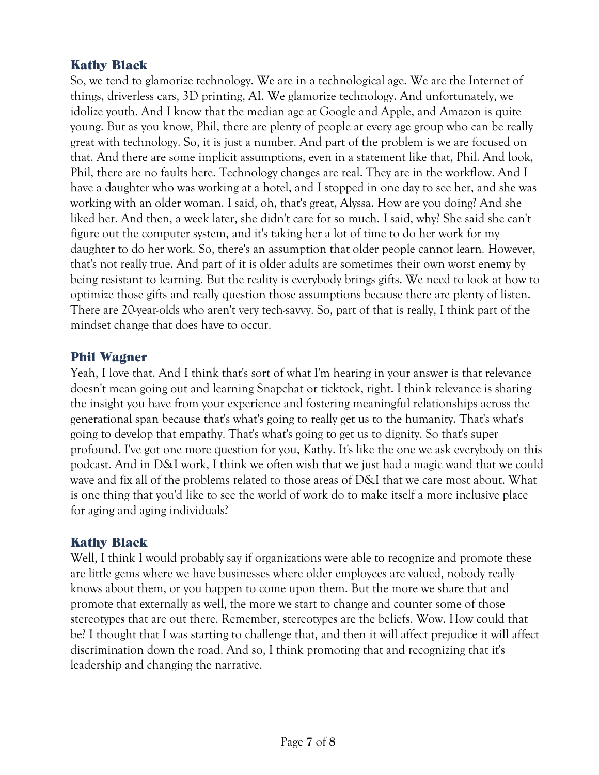## Kathy Black

So, we tend to glamorize technology. We are in a technological age. We are the Internet of things, driverless cars, 3D printing, AI. We glamorize technology. And unfortunately, we idolize youth. And I know that the median age at Google and Apple, and Amazon is quite young. But as you know, Phil, there are plenty of people at every age group who can be really great with technology. So, it is just a number. And part of the problem is we are focused on that. And there are some implicit assumptions, even in a statement like that, Phil. And look, Phil, there are no faults here. Technology changes are real. They are in the workflow. And I have a daughter who was working at a hotel, and I stopped in one day to see her, and she was working with an older woman. I said, oh, that's great, Alyssa. How are you doing? And she liked her. And then, a week later, she didn't care for so much. I said, why? She said she can't figure out the computer system, and it's taking her a lot of time to do her work for my daughter to do her work. So, there's an assumption that older people cannot learn. However, that's not really true. And part of it is older adults are sometimes their own worst enemy by being resistant to learning. But the reality is everybody brings gifts. We need to look at how to optimize those gifts and really question those assumptions because there are plenty of listen. There are 20-year-olds who aren't very tech-savvy. So, part of that is really, I think part of the mindset change that does have to occur.

#### Phil Wagner

Yeah, I love that. And I think that's sort of what I'm hearing in your answer is that relevance doesn't mean going out and learning Snapchat or ticktock, right. I think relevance is sharing the insight you have from your experience and fostering meaningful relationships across the generational span because that's what's going to really get us to the humanity. That's what's going to develop that empathy. That's what's going to get us to dignity. So that's super profound. I've got one more question for you, Kathy. It's like the one we ask everybody on this podcast. And in D&I work, I think we often wish that we just had a magic wand that we could wave and fix all of the problems related to those areas of D&I that we care most about. What is one thing that you'd like to see the world of work do to make itself a more inclusive place for aging and aging individuals?

# Kathy Black

Well, I think I would probably say if organizations were able to recognize and promote these are little gems where we have businesses where older employees are valued, nobody really knows about them, or you happen to come upon them. But the more we share that and promote that externally as well, the more we start to change and counter some of those stereotypes that are out there. Remember, stereotypes are the beliefs. Wow. How could that be? I thought that I was starting to challenge that, and then it will affect prejudice it will affect discrimination down the road. And so, I think promoting that and recognizing that it's leadership and changing the narrative.